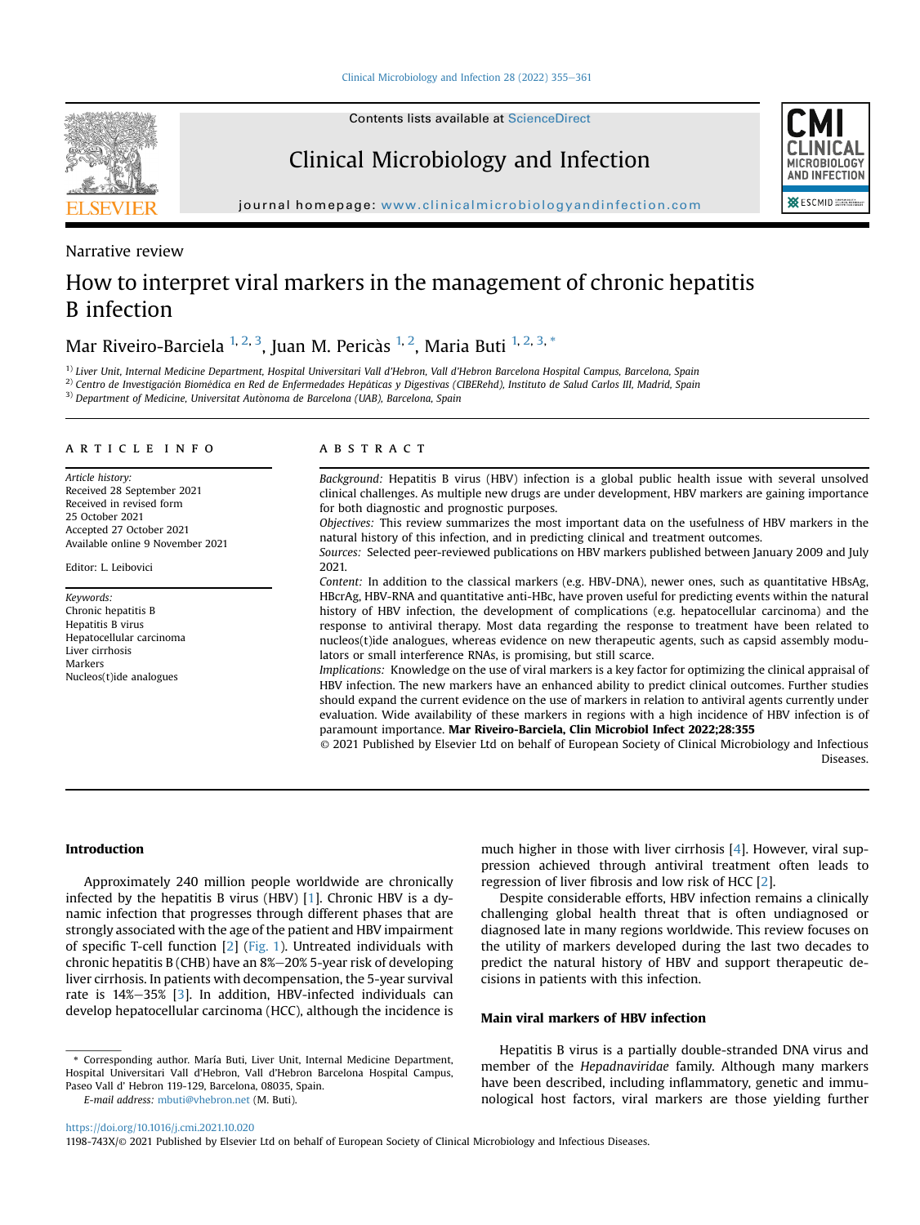

Contents lists available at [ScienceDirect](www.sciencedirect.com/science/journal/1198743X)

# Clinical Microbiology and Infection



journal homepage: [www.clinicalmicrobiologyandinfection.com](http://www.clinicalmicrobiologyandinfection.com)

Narrative review

# How to interpret viral markers in the management of chronic hepatitis B infection

Mar Riveiro-Barciela <sup>[1,](#page-0-0) [2](#page-0-1), [3](#page-0-2)</sup>, Juan M. Pericàs <sup>1, 2</sup>, Maria Buti <sup>1, [2,](#page-0-1) 3,</sup> [\\*](#page-0-3)

<span id="page-0-2"></span><span id="page-0-1"></span><span id="page-0-0"></span><sup>1)</sup> Liver Unit, Internal Medicine Department, Hospital Universitari Vall d'Hebron, Vall d'Hebron Barcelona Hospital Campus, Barcelona, Spain  $^{2)}$  Centro de Investigación Biomédica en Red de Enfermedades Hepáticas y Digestivas (CIBERehd), Instituto de Salud Carlos III, Madrid, Spain <sup>3)</sup> Department of Medicine, Universitat Autonoma de Barcelona (UAB), Barcelona, Spain

#### article info

Article history: Received 28 September 2021 Received in revised form 25 October 2021 Accepted 27 October 2021 Available online 9 November 2021

Editor: L. Leibovici

Keywords: Chronic hepatitis B Hepatitis B virus Hepatocellular carcinoma Liver cirrhosis Markers Nucleos(t)ide analogues

#### **ABSTRACT**

Background: Hepatitis B virus (HBV) infection is a global public health issue with several unsolved clinical challenges. As multiple new drugs are under development, HBV markers are gaining importance for both diagnostic and prognostic purposes.

Objectives: This review summarizes the most important data on the usefulness of HBV markers in the natural history of this infection, and in predicting clinical and treatment outcomes.

Sources: Selected peer-reviewed publications on HBV markers published between January 2009 and July 2021.

Content: In addition to the classical markers (e.g. HBV-DNA), newer ones, such as quantitative HBsAg, HBcrAg, HBV-RNA and quantitative anti-HBc, have proven useful for predicting events within the natural history of HBV infection, the development of complications (e.g. hepatocellular carcinoma) and the response to antiviral therapy. Most data regarding the response to treatment have been related to nucleos(t)ide analogues, whereas evidence on new therapeutic agents, such as capsid assembly modulators or small interference RNAs, is promising, but still scarce.

Implications: Knowledge on the use of viral markers is a key factor for optimizing the clinical appraisal of HBV infection. The new markers have an enhanced ability to predict clinical outcomes. Further studies should expand the current evidence on the use of markers in relation to antiviral agents currently under evaluation. Wide availability of these markers in regions with a high incidence of HBV infection is of paramount importance. Mar Riveiro-Barciela, Clin Microbiol Infect 2022;28:355

© 2021 Published by Elsevier Ltd on behalf of European Society of Clinical Microbiology and Infectious Diseases.

# Introduction

Approximately 240 million people worldwide are chronically infected by the hepatitis B virus (HBV) [\[1\]](#page-5-0). Chronic HBV is a dynamic infection that progresses through different phases that are strongly associated with the age of the patient and HBV impairment of specific T-cell function [[2\]](#page-5-1) ([Fig. 1](#page-1-0)). Untreated individuals with chronic hepatitis B (CHB) have an  $8\%-20\%$  5-year risk of developing liver cirrhosis. In patients with decompensation, the 5-year survival rate is  $14\% - 35\%$  [[3\]](#page-5-2). In addition, HBV-infected individuals can develop hepatocellular carcinoma (HCC), although the incidence is

<span id="page-0-3"></span>\* Corresponding author. María Buti, Liver Unit, Internal Medicine Department, Hospital Universitari Vall d'Hebron, Vall d'Hebron Barcelona Hospital Campus, Paseo Vall d' Hebron 119-129, Barcelona, 08035, Spain.

E-mail address: [mbuti@vhebron.net](mailto:mbuti@vhebron.net) (M. Buti).

much higher in those with liver cirrhosis [\[4\]](#page-5-3). However, viral suppression achieved through antiviral treatment often leads to regression of liver fibrosis and low risk of HCC [[2\]](#page-5-1).

Despite considerable efforts, HBV infection remains a clinically challenging global health threat that is often undiagnosed or diagnosed late in many regions worldwide. This review focuses on the utility of markers developed during the last two decades to predict the natural history of HBV and support therapeutic decisions in patients with this infection.

# Main viral markers of HBV infection

Hepatitis B virus is a partially double-stranded DNA virus and member of the Hepadnaviridae family. Although many markers have been described, including inflammatory, genetic and immunological host factors, viral markers are those yielding further

<https://doi.org/10.1016/j.cmi.2021.10.020>

<sup>1198-743</sup>X/© 2021 Published by Elsevier Ltd on behalf of European Society of Clinical Microbiology and Infectious Diseases.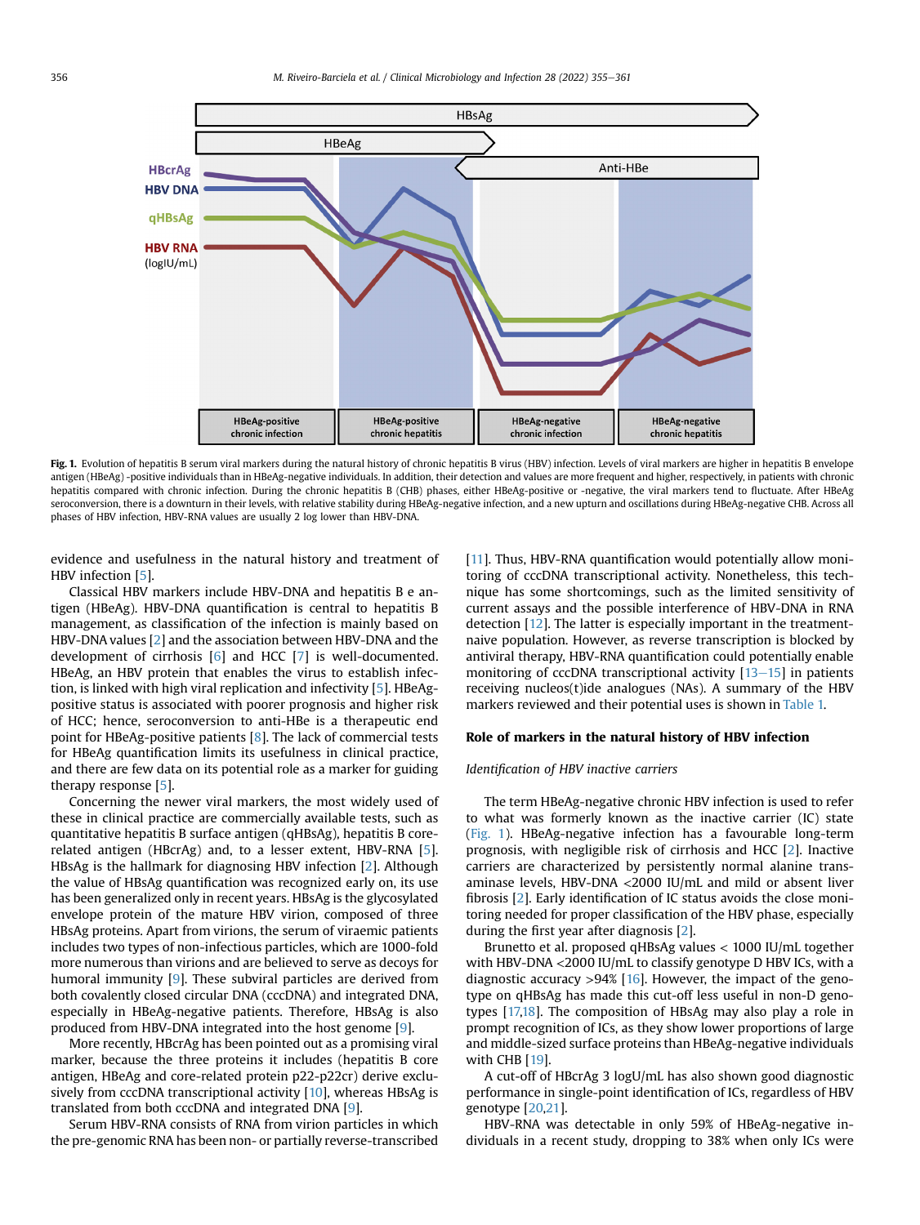<span id="page-1-0"></span>

Fig. 1. Evolution of hepatitis B serum viral markers during the natural history of chronic hepatitis B virus (HBV) infection. Levels of viral markers are higher in hepatitis B envelope antigen (HBeAg) -positive individuals than in HBeAg-negative individuals. In addition, their detection and values are more frequent and higher, respectively, in patients with chronic hepatitis compared with chronic infection. During the chronic hepatitis B (CHB) phases, either HBeAg-positive or -negative, the viral markers tend to fluctuate. After HBeAg seroconversion, there is a downturn in their levels, with relative stability during HBeAg-negative infection, and a new upturn and oscillations during HBeAg-negative CHB. Across all phases of HBV infection, HBV-RNA values are usually 2 log lower than HBV-DNA.

evidence and usefulness in the natural history and treatment of HBV infection [\[5](#page-5-4)].

Classical HBV markers include HBV-DNA and hepatitis B e antigen (HBeAg). HBV-DNA quantification is central to hepatitis B management, as classification of the infection is mainly based on HBV-DNA values [[2](#page-5-1)] and the association between HBV-DNA and the development of cirrhosis [\[6](#page-5-5)] and HCC [\[7](#page-5-6)] is well-documented. HBeAg, an HBV protein that enables the virus to establish infection, is linked with high viral replication and infectivity [[5](#page-5-4)]. HBeAgpositive status is associated with poorer prognosis and higher risk of HCC; hence, seroconversion to anti-HBe is a therapeutic end point for HBeAg-positive patients [[8](#page-5-7)]. The lack of commercial tests for HBeAg quantification limits its usefulness in clinical practice, and there are few data on its potential role as a marker for guiding therapy response [\[5](#page-5-4)].

Concerning the newer viral markers, the most widely used of these in clinical practice are commercially available tests, such as quantitative hepatitis B surface antigen (qHBsAg), hepatitis B corerelated antigen (HBcrAg) and, to a lesser extent, HBV-RNA [\[5](#page-5-4)]. HBsAg is the hallmark for diagnosing HBV infection [[2](#page-5-1)]. Although the value of HBsAg quantification was recognized early on, its use has been generalized only in recent years. HBsAg is the glycosylated envelope protein of the mature HBV virion, composed of three HBsAg proteins. Apart from virions, the serum of viraemic patients includes two types of non-infectious particles, which are 1000-fold more numerous than virions and are believed to serve as decoys for humoral immunity [[9\]](#page-5-8). These subviral particles are derived from both covalently closed circular DNA (cccDNA) and integrated DNA, especially in HBeAg-negative patients. Therefore, HBsAg is also produced from HBV-DNA integrated into the host genome [[9\]](#page-5-8).

More recently, HBcrAg has been pointed out as a promising viral marker, because the three proteins it includes (hepatitis B core antigen, HBeAg and core-related protein p22-p22cr) derive exclusively from cccDNA transcriptional activity [[10\]](#page-5-9), whereas HBsAg is translated from both cccDNA and integrated DNA [\[9](#page-5-8)].

Serum HBV-RNA consists of RNA from virion particles in which the pre-genomic RNA has been non- or partially reverse-transcribed [[11](#page-5-10)]. Thus, HBV-RNA quantification would potentially allow monitoring of cccDNA transcriptional activity. Nonetheless, this technique has some shortcomings, such as the limited sensitivity of current assays and the possible interference of HBV-DNA in RNA detection [[12\]](#page-5-11). The latter is especially important in the treatmentnaive population. However, as reverse transcription is blocked by antiviral therapy, HBV-RNA quantification could potentially enable monitoring of cccDNA transcriptional activity  $[13-15]$  $[13-15]$  $[13-15]$  in patients receiving nucleos(t)ide analogues (NAs). A summary of the HBV markers reviewed and their potential uses is shown in [Table 1.](#page-2-0)

### Role of markers in the natural history of HBV infection

### Identification of HBV inactive carriers

The term HBeAg-negative chronic HBV infection is used to refer to what was formerly known as the inactive carrier (IC) state ([Fig. 1](#page-1-0)). HBeAg-negative infection has a favourable long-term prognosis, with negligible risk of cirrhosis and HCC [\[2\]](#page-5-1). Inactive carriers are characterized by persistently normal alanine transaminase levels, HBV-DNA <2000 IU/mL and mild or absent liver fibrosis [[2\]](#page-5-1). Early identification of IC status avoids the close monitoring needed for proper classification of the HBV phase, especially during the first year after diagnosis [\[2\]](#page-5-1).

Brunetto et al. proposed qHBsAg values < 1000 IU/mL together with HBV-DNA <2000 IU/mL to classify genotype D HBV ICs, with a diagnostic accuracy  $>94\%$  [\[16](#page-5-13)]. However, the impact of the genotype on qHBsAg has made this cut-off less useful in non-D genotypes [[17,](#page-5-14)[18\]](#page-5-15). The composition of HBsAg may also play a role in prompt recognition of ICs, as they show lower proportions of large and middle-sized surface proteins than HBeAg-negative individuals with CHB [\[19](#page-5-16)].

A cut-off of HBcrAg 3 logU/mL has also shown good diagnostic performance in single-point identification of ICs, regardless of HBV genotype [\[20,](#page-5-17)[21\]](#page-5-18).

HBV-RNA was detectable in only 59% of HBeAg-negative individuals in a recent study, dropping to 38% when only ICs were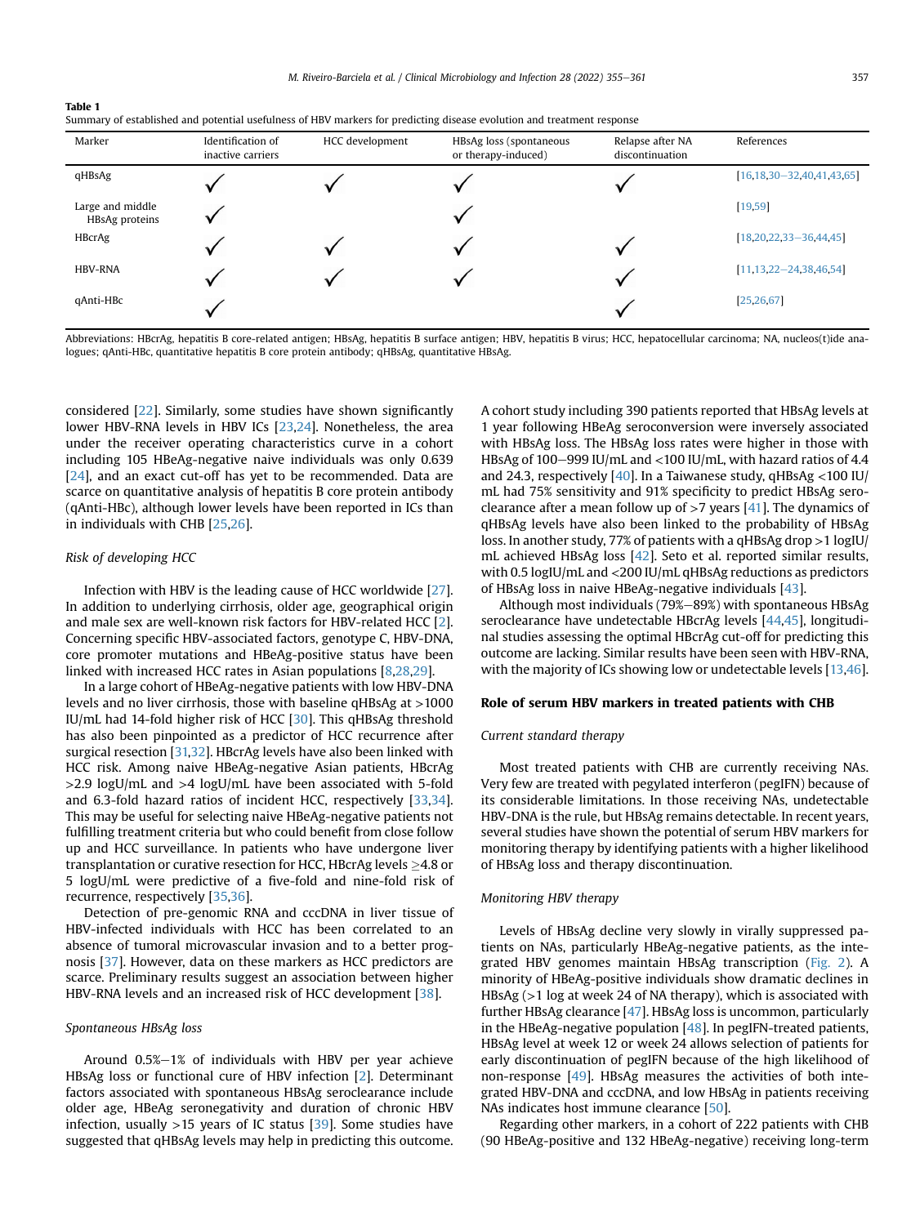<span id="page-2-0"></span>

| Table 1                                                                                                                |  |
|------------------------------------------------------------------------------------------------------------------------|--|
| Summary of established and potential usefulness of HBV markers for predicting disease evolution and treatment response |  |

| Marker                             | Identification of<br>inactive carriers | HCC development | HBsAg loss (spontaneous<br>or therapy-induced) | Relapse after NA<br>discontinuation | References                          |
|------------------------------------|----------------------------------------|-----------------|------------------------------------------------|-------------------------------------|-------------------------------------|
| qHBsAg                             |                                        |                 |                                                |                                     | $[16, 18, 30 - 32, 40, 41, 43, 65]$ |
| Large and middle<br>HBsAg proteins |                                        |                 |                                                |                                     | [19, 59]                            |
| <b>HBcrAg</b>                      |                                        |                 |                                                |                                     | $[18, 20, 22, 33 - 36, 44, 45]$     |
| <b>HBV-RNA</b>                     |                                        |                 |                                                |                                     | $[11, 13, 22 - 24, 38, 46, 54]$     |
| qAnti-HBc                          |                                        |                 |                                                |                                     | [25, 26, 67]                        |

Abbreviations: HBcrAg, hepatitis B core-related antigen; HBsAg, hepatitis B surface antigen; HBV, hepatitis B virus; HCC, hepatocellular carcinoma; NA, nucleos(t)ide analogues; qAnti-HBc, quantitative hepatitis B core protein antibody; qHBsAg, quantitative HBsAg.

considered [[22](#page-5-19)]. Similarly, some studies have shown significantly lower HBV-RNA levels in HBV ICs [[23](#page-5-20)[,24\]](#page-5-21). Nonetheless, the area under the receiver operating characteristics curve in a cohort including 105 HBeAg-negative naive individuals was only 0.639 [\[24\]](#page-5-21), and an exact cut-off has yet to be recommended. Data are scarce on quantitative analysis of hepatitis B core protein antibody (qAnti-HBc), although lower levels have been reported in ICs than in individuals with CHB [[25](#page-5-22)[,26\]](#page-5-23).

#### Risk of developing HCC

Infection with HBV is the leading cause of HCC worldwide [\[27\]](#page-5-24). In addition to underlying cirrhosis, older age, geographical origin and male sex are well-known risk factors for HBV-related HCC [\[2\]](#page-5-1). Concerning specific HBV-associated factors, genotype C, HBV-DNA, core promoter mutations and HBeAg-positive status have been linked with increased HCC rates in Asian populations [\[8](#page-5-7)[,28,](#page-5-25)[29\]](#page-5-26).

In a large cohort of HBeAg-negative patients with low HBV-DNA levels and no liver cirrhosis, those with baseline qHBsAg at >1000 IU/mL had 14-fold higher risk of HCC [\[30\]](#page-5-27). This qHBsAg threshold has also been pinpointed as a predictor of HCC recurrence after surgical resection [\[31,](#page-5-28)[32](#page-5-29)]. HBcrAg levels have also been linked with HCC risk. Among naive HBeAg-negative Asian patients, HBcrAg >2.9 logU/mL and >4 logU/mL have been associated with 5-fold and 6.3-fold hazard ratios of incident HCC, respectively [[33](#page-5-30)[,34\]](#page-5-31). This may be useful for selecting naive HBeAg-negative patients not fulfilling treatment criteria but who could benefit from close follow up and HCC surveillance. In patients who have undergone liver transplantation or curative resection for HCC, HBcrAg levels  $\geq$ 4.8 or 5 logU/mL were predictive of a five-fold and nine-fold risk of recurrence, respectively [\[35](#page-5-32)[,36\]](#page-5-33).

Detection of pre-genomic RNA and cccDNA in liver tissue of HBV-infected individuals with HCC has been correlated to an absence of tumoral microvascular invasion and to a better prognosis [[37\]](#page-5-34). However, data on these markers as HCC predictors are scarce. Preliminary results suggest an association between higher HBV-RNA levels and an increased risk of HCC development [[38](#page-5-35)].

#### Spontaneous HBsAg loss

Around  $0.5\% - 1\%$  of individuals with HBV per year achieve HBsAg loss or functional cure of HBV infection [\[2](#page-5-1)]. Determinant factors associated with spontaneous HBsAg seroclearance include older age, HBeAg seronegativity and duration of chronic HBV infection, usually  $>15$  years of IC status [\[39\]](#page-5-36). Some studies have suggested that qHBsAg levels may help in predicting this outcome. A cohort study including 390 patients reported that HBsAg levels at 1 year following HBeAg seroconversion were inversely associated with HBsAg loss. The HBsAg loss rates were higher in those with HBsAg of 100-999 IU/mL and <100 IU/mL, with hazard ratios of 4.4 and 24.3, respectively  $[40]$  $[40]$  $[40]$ . In a Taiwanese study, qHBsAg <100 IU/ mL had 75% sensitivity and 91% specificity to predict HBsAg seroclearance after a mean follow up of  $>7$  years [\[41\]](#page-5-38). The dynamics of qHBsAg levels have also been linked to the probability of HBsAg loss. In another study, 77% of patients with a qHBsAg drop >1 logIU/ mL achieved HBsAg loss [\[42\]](#page-5-39). Seto et al. reported similar results, with 0.5 logIU/mL and <200 IU/mL qHBsAg reductions as predictors of HBsAg loss in naive HBeAg-negative individuals [\[43\]](#page-5-40).

Although most individuals (79%-89%) with spontaneous HBsAg seroclearance have undetectable HBcrAg levels [\[44,](#page-5-41)[45](#page-6-0)], longitudinal studies assessing the optimal HBcrAg cut-off for predicting this outcome are lacking. Similar results have been seen with HBV-RNA, with the majority of ICs showing low or undetectable levels [\[13](#page-5-12)[,46\]](#page-6-1).

# Role of serum HBV markers in treated patients with CHB

# Current standard therapy

Most treated patients with CHB are currently receiving NAs. Very few are treated with pegylated interferon (pegIFN) because of its considerable limitations. In those receiving NAs, undetectable HBV-DNA is the rule, but HBsAg remains detectable. In recent years, several studies have shown the potential of serum HBV markers for monitoring therapy by identifying patients with a higher likelihood of HBsAg loss and therapy discontinuation.

# Monitoring HBV therapy

Levels of HBsAg decline very slowly in virally suppressed patients on NAs, particularly HBeAg-negative patients, as the integrated HBV genomes maintain HBsAg transcription ([Fig. 2](#page-3-0)). A minority of HBeAg-positive individuals show dramatic declines in HBsAg (>1 log at week 24 of NA therapy), which is associated with further HBsAg clearance [\[47\]](#page-6-2). HBsAg loss is uncommon, particularly in the HBeAg-negative population  $[48]$  $[48]$ . In pegIFN-treated patients, HBsAg level at week 12 or week 24 allows selection of patients for early discontinuation of pegIFN because of the high likelihood of non-response [\[49\]](#page-6-4). HBsAg measures the activities of both integrated HBV-DNA and cccDNA, and low HBsAg in patients receiving NAs indicates host immune clearance [\[50\]](#page-6-5).

Regarding other markers, in a cohort of 222 patients with CHB (90 HBeAg-positive and 132 HBeAg-negative) receiving long-term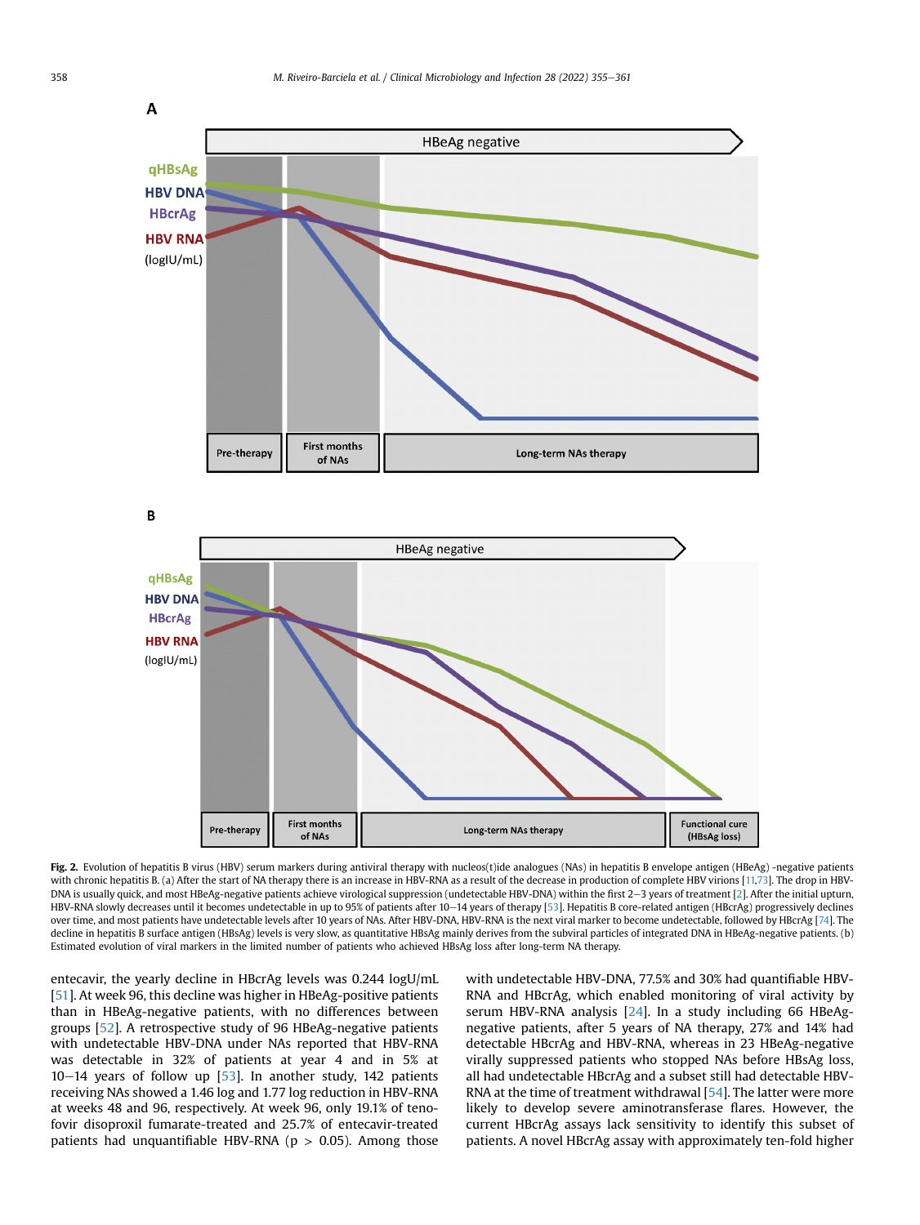<span id="page-3-0"></span>

Fig. 2. Evolution of hepatitis B virus (HBV) serum markers during antiviral therapy with nucleos(t)ide analogues (NAs) in hepatitis B envelope antigen (HBeAg) -negative patients with chronic hepatitis B. (a) After the start of NA therapy there is an increase in HBV-RNA as a result of the decrease in production of complete HBV virions [[11](#page-5-10)[,73](#page-6-13)]. The drop in HBV-DNA is usually quick, and most HBeAg-negative patients achieve virological suppression (undetectable HBV-DNA) within the first 2-3 years of treatment [\[2\]](#page-5-1). After the initial upturn, HBV-RNA slowly decreases until it becomes undetectable in up to 95% of patients after 10-14 years of therapy [[53\]](#page-6-12). Hepatitis B core-related antigen (HBcrAg) progressively declines over time, and most patients have undetectable levels after 10 years of NAs. After HBV-DNA, HBV-RNA is the next viral marker to become undetectable, followed by HBcrAg [\[74\]](#page-6-14). The decline in hepatitis B surface antigen (HBsAg) levels is very slow, as quantitative HBsAg mainly derives from the subviral particles of integrated DNA in HBeAg-negative patients. (b) Estimated evolution of viral markers in the limited number of patients who achieved HBsAg loss after long-term NA therapy.

entecavir, the yearly decline in HBcrAg levels was 0.244 logU/mL [[51\]](#page-6-10). At week 96, this decline was higher in HBeAg-positive patients than in HBeAg-negative patients, with no differences between groups [[52](#page-6-11)]. A retrospective study of 96 HBeAg-negative patients with undetectable HBV-DNA under NAs reported that HBV-RNA was detectable in 32% of patients at year 4 and in 5% at  $10-14$  years of follow up [\[53\]](#page-6-12). In another study, 142 patients receiving NAs showed a 1.46 log and 1.77 log reduction in HBV-RNA at weeks 48 and 96, respectively. At week 96, only 19.1% of tenofovir disoproxil fumarate-treated and 25.7% of entecavir-treated patients had unquantifiable HBV-RNA ( $p > 0.05$ ). Among those with undetectable HBV-DNA, 77.5% and 30% had quantifiable HBV-RNA and HBcrAg, which enabled monitoring of viral activity by serum HBV-RNA analysis [[24](#page-5-21)]. In a study including 66 HBeAgnegative patients, after 5 years of NA therapy, 27% and 14% had detectable HBcrAg and HBV-RNA, whereas in 23 HBeAg-negative virally suppressed patients who stopped NAs before HBsAg loss, all had undetectable HBcrAg and a subset still had detectable HBV-RNA at the time of treatment withdrawal [[54](#page-6-8)]. The latter were more likely to develop severe aminotransferase flares. However, the current HBcrAg assays lack sensitivity to identify this subset of patients. A novel HBcrAg assay with approximately ten-fold higher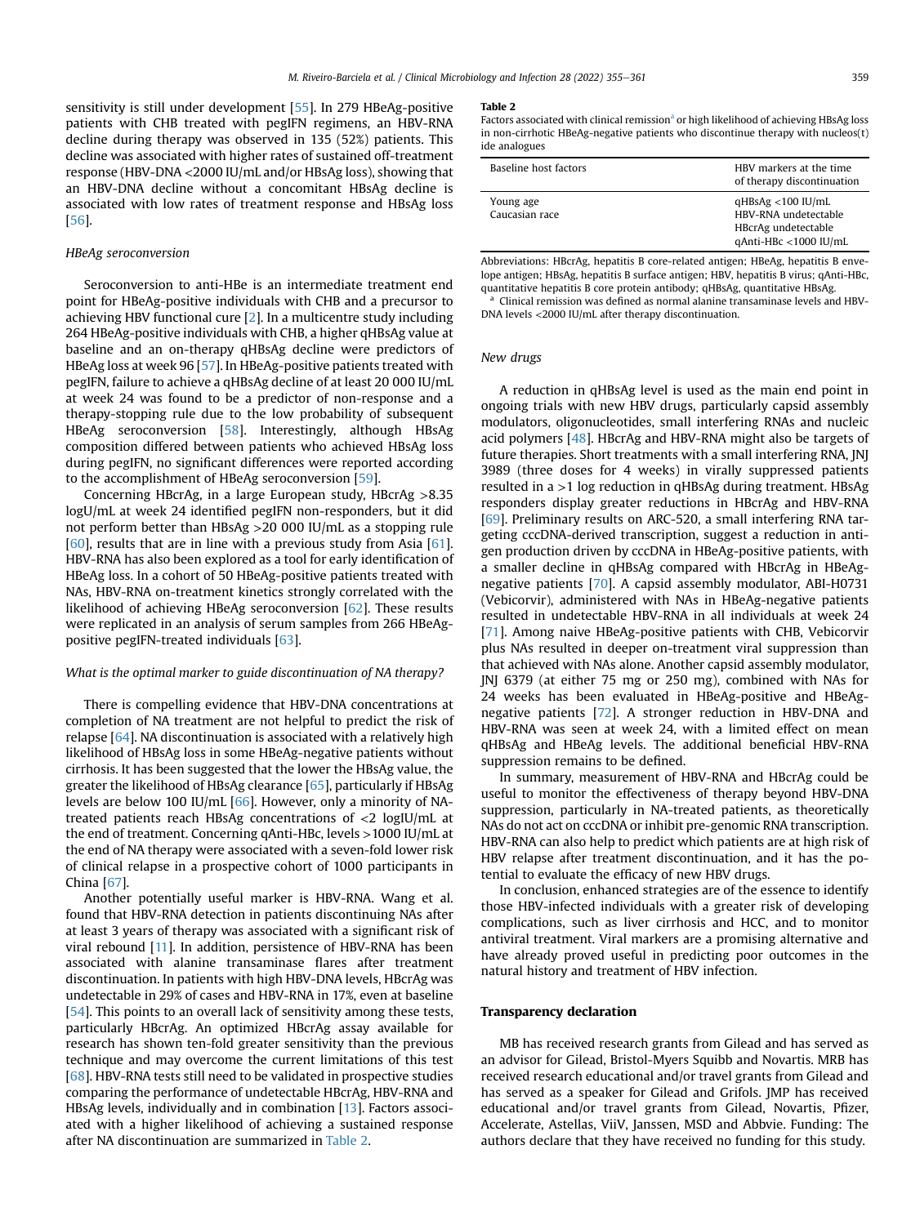sensitivity is still under development [[55](#page-6-15)]. In 279 HBeAg-positive patients with CHB treated with pegIFN regimens, an HBV-RNA decline during therapy was observed in 135 (52%) patients. This decline was associated with higher rates of sustained off-treatment response (HBV-DNA <2000 IU/mL and/or HBsAg loss), showing that an HBV-DNA decline without a concomitant HBsAg decline is associated with low rates of treatment response and HBsAg loss [\[56\]](#page-6-16).

# HBeAg seroconversion

Seroconversion to anti-HBe is an intermediate treatment end point for HBeAg-positive individuals with CHB and a precursor to achieving HBV functional cure [\[2\]](#page-5-1). In a multicentre study including 264 HBeAg-positive individuals with CHB, a higher qHBsAg value at baseline and an on-therapy qHBsAg decline were predictors of HBeAg loss at week 96 [\[57\]](#page-6-17). In HBeAg-positive patients treated with pegIFN, failure to achieve a qHBsAg decline of at least 20 000 IU/mL at week 24 was found to be a predictor of non-response and a therapy-stopping rule due to the low probability of subsequent HBeAg seroconversion [\[58\]](#page-6-18). Interestingly, although HBsAg composition differed between patients who achieved HBsAg loss during pegIFN, no significant differences were reported according to the accomplishment of HBeAg seroconversion [\[59\]](#page-6-7).

Concerning HBcrAg, in a large European study, HBcrAg >8.35 logU/mL at week 24 identified pegIFN non-responders, but it did not perform better than HBsAg >20 000 IU/mL as a stopping rule [\[60\]](#page-6-19), results that are in line with a previous study from Asia [\[61\]](#page-6-20). HBV-RNA has also been explored as a tool for early identification of HBeAg loss. In a cohort of 50 HBeAg-positive patients treated with NAs, HBV-RNA on-treatment kinetics strongly correlated with the likelihood of achieving HBeAg seroconversion [[62](#page-6-21)]. These results were replicated in an analysis of serum samples from 266 HBeAgpositive pegIFN-treated individuals [[63](#page-6-22)].

#### What is the optimal marker to guide discontinuation of NA therapy?

There is compelling evidence that HBV-DNA concentrations at completion of NA treatment are not helpful to predict the risk of relapse [\[64](#page-6-23)]. NA discontinuation is associated with a relatively high likelihood of HBsAg loss in some HBeAg-negative patients without cirrhosis. It has been suggested that the lower the HBsAg value, the greater the likelihood of HBsAg clearance [[65](#page-6-6)], particularly if HBsAg levels are below 100 IU/mL [\[66\]](#page-6-24). However, only a minority of NAtreated patients reach HBsAg concentrations of <2 logIU/mL at the end of treatment. Concerning qAnti-HBc, levels >1000 IU/mL at the end of NA therapy were associated with a seven-fold lower risk of clinical relapse in a prospective cohort of 1000 participants in China [[67\]](#page-6-9).

Another potentially useful marker is HBV-RNA. Wang et al. found that HBV-RNA detection in patients discontinuing NAs after at least 3 years of therapy was associated with a significant risk of viral rebound [\[11\]](#page-5-10). In addition, persistence of HBV-RNA has been associated with alanine transaminase flares after treatment discontinuation. In patients with high HBV-DNA levels, HBcrAg was undetectable in 29% of cases and HBV-RNA in 17%, even at baseline [\[54\]](#page-6-8). This points to an overall lack of sensitivity among these tests, particularly HBcrAg. An optimized HBcrAg assay available for research has shown ten-fold greater sensitivity than the previous technique and may overcome the current limitations of this test [\[68](#page-6-25)]. HBV-RNA tests still need to be validated in prospective studies comparing the performance of undetectable HBcrAg, HBV-RNA and HBsAg levels, individually and in combination [\[13](#page-5-12)]. Factors associated with a higher likelihood of achieving a sustained response after NA discontinuation are summarized in [Table 2](#page-4-0).

#### <span id="page-4-0"></span>Table 2

F[a](#page-4-1)ctors associated with clinical remission<sup>a</sup> or high likelihood of achieving HBsAg loss in non-cirrhotic HBeAg-negative patients who discontinue therapy with nucleos(t) ide analogues

| Baseline host factors       | HBV markers at the time<br>of therapy discontinuation                                           |
|-----------------------------|-------------------------------------------------------------------------------------------------|
| Young age<br>Caucasian race | $qHBsAg < 100$ IU/mL<br>HBV-RNA undetectable<br>HBcrAg undetectable<br>$qAnti-HBC < 1000$ IU/mL |

Abbreviations: HBcrAg, hepatitis B core-related antigen; HBeAg, hepatitis B envelope antigen; HBsAg, hepatitis B surface antigen; HBV, hepatitis B virus; qAnti-HBc, quantitative hepatitis B core protein antibody; qHBsAg, quantitative HBsAg.

<span id="page-4-1"></span><sup>a</sup> Clinical remission was defined as normal alanine transaminase levels and HBV-DNA levels <2000 IU/mL after therapy discontinuation.

#### New drugs

A reduction in qHBsAg level is used as the main end point in ongoing trials with new HBV drugs, particularly capsid assembly modulators, oligonucleotides, small interfering RNAs and nucleic acid polymers [\[48\]](#page-6-3). HBcrAg and HBV-RNA might also be targets of future therapies. Short treatments with a small interfering RNA, JNJ 3989 (three doses for 4 weeks) in virally suppressed patients resulted in a >1 log reduction in qHBsAg during treatment. HBsAg responders display greater reductions in HBcrAg and HBV-RNA [\[69\]](#page-6-26). Preliminary results on ARC-520, a small interfering RNA targeting cccDNA-derived transcription, suggest a reduction in antigen production driven by cccDNA in HBeAg-positive patients, with a smaller decline in qHBsAg compared with HBcrAg in HBeAgnegative patients [\[70\]](#page-6-27). A capsid assembly modulator, ABI-H0731 (Vebicorvir), administered with NAs in HBeAg-negative patients resulted in undetectable HBV-RNA in all individuals at week 24 [\[71\]](#page-6-28). Among naive HBeAg-positive patients with CHB, Vebicorvir plus NAs resulted in deeper on-treatment viral suppression than that achieved with NAs alone. Another capsid assembly modulator, JNJ 6379 (at either 75 mg or 250 mg), combined with NAs for 24 weeks has been evaluated in HBeAg-positive and HBeAgnegative patients [[72](#page-6-29)]. A stronger reduction in HBV-DNA and HBV-RNA was seen at week 24, with a limited effect on mean qHBsAg and HBeAg levels. The additional beneficial HBV-RNA suppression remains to be defined.

In summary, measurement of HBV-RNA and HBcrAg could be useful to monitor the effectiveness of therapy beyond HBV-DNA suppression, particularly in NA-treated patients, as theoretically NAs do not act on cccDNA or inhibit pre-genomic RNA transcription. HBV-RNA can also help to predict which patients are at high risk of HBV relapse after treatment discontinuation, and it has the potential to evaluate the efficacy of new HBV drugs.

In conclusion, enhanced strategies are of the essence to identify those HBV-infected individuals with a greater risk of developing complications, such as liver cirrhosis and HCC, and to monitor antiviral treatment. Viral markers are a promising alternative and have already proved useful in predicting poor outcomes in the natural history and treatment of HBV infection.

#### Transparency declaration

MB has received research grants from Gilead and has served as an advisor for Gilead, Bristol-Myers Squibb and Novartis. MRB has received research educational and/or travel grants from Gilead and has served as a speaker for Gilead and Grifols. JMP has received educational and/or travel grants from Gilead, Novartis, Pfizer, Accelerate, Astellas, ViiV, Janssen, MSD and Abbvie. Funding: The authors declare that they have received no funding for this study.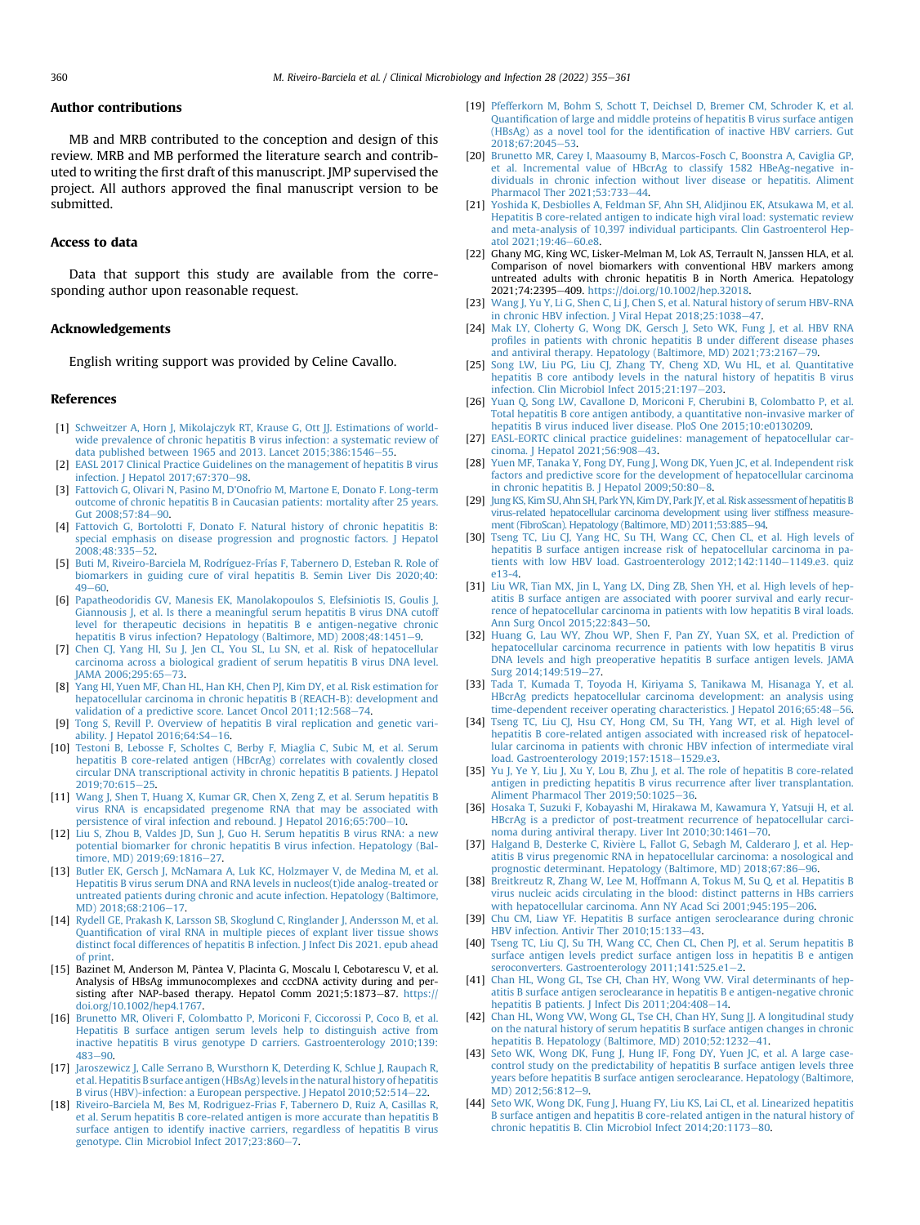### Author contributions

MB and MRB contributed to the conception and design of this review. MRB and MB performed the literature search and contributed to writing the first draft of this manuscript. JMP supervised the project. All authors approved the final manuscript version to be submitted.

# Access to data

Data that support this study are available from the corresponding author upon reasonable request.

### Acknowledgements

English writing support was provided by Celine Cavallo.

#### <span id="page-5-0"></span>References

- <span id="page-5-1"></span>[1] [Schweitzer A, Horn J, Mikolajczyk RT, Krause G, Ott JJ. Estimations of world](http://refhub.elsevier.com/S1198-743X(21)00622-4/sref1)[wide prevalence of chronic hepatitis B virus infection: a systematic review of](http://refhub.elsevier.com/S1198-743X(21)00622-4/sref1) [data published between 1965 and 2013. Lancet 2015;386:1546](http://refhub.elsevier.com/S1198-743X(21)00622-4/sref1)-[55](http://refhub.elsevier.com/S1198-743X(21)00622-4/sref1).
- <span id="page-5-2"></span>[EASL 2017 Clinical Practice Guidelines on the management of hepatitis B virus](http://refhub.elsevier.com/S1198-743X(21)00622-4/sref2) [infection. J Hepatol 2017;67:370](http://refhub.elsevier.com/S1198-743X(21)00622-4/sref2)-[98.](http://refhub.elsevier.com/S1198-743X(21)00622-4/sref2)
- <span id="page-5-3"></span>[3] [Fattovich G, Olivari N, Pasino M, D'Onofrio M, Martone E, Donato F. Long-term](http://refhub.elsevier.com/S1198-743X(21)00622-4/sref3) [outcome of chronic hepatitis B in Caucasian patients: mortality after 25 years.](http://refhub.elsevier.com/S1198-743X(21)00622-4/sref3) [Gut 2008;57:84](http://refhub.elsevier.com/S1198-743X(21)00622-4/sref3)-[90](http://refhub.elsevier.com/S1198-743X(21)00622-4/sref3).
- [4] [Fattovich G, Bortolotti F, Donato F. Natural history of chronic hepatitis B:](http://refhub.elsevier.com/S1198-743X(21)00622-4/sref4) [special emphasis on disease progression and prognostic factors. J Hepatol](http://refhub.elsevier.com/S1198-743X(21)00622-4/sref4) 2008:48:335-[52](http://refhub.elsevier.com/S1198-743X(21)00622-4/sref4).
- <span id="page-5-4"></span>[5] [Buti M, Riveiro-Barciela M, Rodríguez-Frías F, Tabernero D, Esteban R. Role of](http://refhub.elsevier.com/S1198-743X(21)00622-4/sref5) [biomarkers in guiding cure of viral hepatitis B. Semin Liver Dis 2020;40:](http://refhub.elsevier.com/S1198-743X(21)00622-4/sref5)  $49 - 60$  $49 - 60$
- <span id="page-5-5"></span>[6] [Papatheodoridis GV, Manesis EK, Manolakopoulos S, Elefsiniotis IS, Goulis J,](http://refhub.elsevier.com/S1198-743X(21)00622-4/sref6) [Giannousis J, et al. Is there a meaningful serum hepatitis B virus DNA cutoff](http://refhub.elsevier.com/S1198-743X(21)00622-4/sref6) [level for therapeutic decisions in hepatitis B e antigen-negative chronic](http://refhub.elsevier.com/S1198-743X(21)00622-4/sref6) [hepatitis B virus infection? Hepatology \(Baltimore, MD\) 2008;48:1451](http://refhub.elsevier.com/S1198-743X(21)00622-4/sref6)-[9](http://refhub.elsevier.com/S1198-743X(21)00622-4/sref6).
- <span id="page-5-6"></span>[7] [Chen CJ, Yang HI, Su J, Jen CL, You SL, Lu SN, et al. Risk of hepatocellular](http://refhub.elsevier.com/S1198-743X(21)00622-4/sref7) [carcinoma across a biological gradient of serum hepatitis B virus DNA level.](http://refhub.elsevier.com/S1198-743X(21)00622-4/sref7) [JAMA 2006;295:65](http://refhub.elsevier.com/S1198-743X(21)00622-4/sref7)-[73](http://refhub.elsevier.com/S1198-743X(21)00622-4/sref7).
- <span id="page-5-7"></span>[8] [Yang HI, Yuen MF, Chan HL, Han KH, Chen PJ, Kim DY, et al. Risk estimation for](http://refhub.elsevier.com/S1198-743X(21)00622-4/sref8) [hepatocellular carcinoma in chronic hepatitis B \(REACH-B\): development and](http://refhub.elsevier.com/S1198-743X(21)00622-4/sref8) [validation of a predictive score. Lancet Oncol 2011;12:568](http://refhub.elsevier.com/S1198-743X(21)00622-4/sref8)-[74.](http://refhub.elsevier.com/S1198-743X(21)00622-4/sref8)
- <span id="page-5-9"></span><span id="page-5-8"></span>[9] [Tong S, Revill P. Overview of hepatitis B viral replication and genetic vari](http://refhub.elsevier.com/S1198-743X(21)00622-4/sref9)ability. J Hepatol  $2016;64:54-16$ .
- [10] [Testoni B, Lebosse F, Scholtes C, Berby F, Miaglia C, Subic M, et al. Serum](http://refhub.elsevier.com/S1198-743X(21)00622-4/sref10) [hepatitis B core-related antigen \(HBcrAg\) correlates with covalently closed](http://refhub.elsevier.com/S1198-743X(21)00622-4/sref10) [circular DNA transcriptional activity in chronic hepatitis B patients. J Hepatol](http://refhub.elsevier.com/S1198-743X(21)00622-4/sref10) 2019:70:615-[25](http://refhub.elsevier.com/S1198-743X(21)00622-4/sref10).
- <span id="page-5-10"></span>[11] [Wang J, Shen T, Huang X, Kumar GR, Chen X, Zeng Z, et al. Serum hepatitis B](http://refhub.elsevier.com/S1198-743X(21)00622-4/sref11) [virus RNA is encapsidated pregenome RNA that may be associated with](http://refhub.elsevier.com/S1198-743X(21)00622-4/sref11) [persistence of viral infection and rebound. J Hepatol 2016;65:700](http://refhub.elsevier.com/S1198-743X(21)00622-4/sref11)-[10.](http://refhub.elsevier.com/S1198-743X(21)00622-4/sref11)
- <span id="page-5-11"></span>[12] [Liu S, Zhou B, Valdes JD, Sun J, Guo H. Serum hepatitis B virus RNA: a new](http://refhub.elsevier.com/S1198-743X(21)00622-4/sref12) [potential biomarker for chronic hepatitis B virus infection. Hepatology \(Bal](http://refhub.elsevier.com/S1198-743X(21)00622-4/sref12)[timore, MD\) 2019;69:1816](http://refhub.elsevier.com/S1198-743X(21)00622-4/sref12)-[27.](http://refhub.elsevier.com/S1198-743X(21)00622-4/sref12)
- <span id="page-5-12"></span>[13] [Butler EK, Gersch J, McNamara A, Luk KC, Holzmayer V, de Medina M, et al.](http://refhub.elsevier.com/S1198-743X(21)00622-4/sref13) [Hepatitis B virus serum DNA and RNA levels in nucleos\(t\)ide analog-treated or](http://refhub.elsevier.com/S1198-743X(21)00622-4/sref13) [untreated patients during chronic and acute infection. Hepatology \(Baltimore,](http://refhub.elsevier.com/S1198-743X(21)00622-4/sref13) MD) 2018:68:2106-[17.](http://refhub.elsevier.com/S1198-743X(21)00622-4/sref13)
- [14] [Rydell GE, Prakash K, Larsson SB, Skoglund C, Ringlander J, Andersson M, et al.](http://refhub.elsevier.com/S1198-743X(21)00622-4/sref14) Quantifi[cation of viral RNA in multiple pieces of explant liver tissue shows](http://refhub.elsevier.com/S1198-743X(21)00622-4/sref14) [distinct focal differences of hepatitis B infection. J Infect Dis 2021. epub ahead](http://refhub.elsevier.com/S1198-743X(21)00622-4/sref14) [of print](http://refhub.elsevier.com/S1198-743X(21)00622-4/sref14).
- [15] Bazinet M, Anderson M, Pântea V, Placinta G, Moscalu I, Cebotarescu V, et al. Analysis of HBsAg immunocomplexes and cccDNA activity during and persisting after NAP-based therapy. Hepatol Comm 2021;5:1873-87. [https://](https://doi.org/10.1002/hep4.1767) [doi.org/10.1002/hep4.1767.](https://doi.org/10.1002/hep4.1767)
- <span id="page-5-13"></span>[16] [Brunetto MR, Oliveri F, Colombatto P, Moriconi F, Ciccorossi P, Coco B, et al.](http://refhub.elsevier.com/S1198-743X(21)00622-4/sref16) [Hepatitis B surface antigen serum levels help to distinguish active from](http://refhub.elsevier.com/S1198-743X(21)00622-4/sref16) [inactive hepatitis B virus genotype D carriers. Gastroenterology 2010;139:](http://refhub.elsevier.com/S1198-743X(21)00622-4/sref16)  $483 - 90.$  $483 - 90.$  $483 - 90.$  $483 - 90.$
- <span id="page-5-14"></span>[17] [Jaroszewicz J, Calle Serrano B, Wursthorn K, Deterding K, Schlue J, Raupach R,](http://refhub.elsevier.com/S1198-743X(21)00622-4/sref17) [et al. Hepatitis B surface antigen \(HBsAg\) levels in the natural history of hepatitis](http://refhub.elsevier.com/S1198-743X(21)00622-4/sref17) [B virus \(HBV\)-infection: a European perspective. J Hepatol 2010;52:514](http://refhub.elsevier.com/S1198-743X(21)00622-4/sref17)–[22.](http://refhub.elsevier.com/S1198-743X(21)00622-4/sref17)
- <span id="page-5-15"></span>[18] [Riveiro-Barciela M, Bes M, Rodriguez-Frias F, Tabernero D, Ruiz A, Casillas R,](http://refhub.elsevier.com/S1198-743X(21)00622-4/sref18) [et al. Serum hepatitis B core-related antigen is more accurate than hepatitis B](http://refhub.elsevier.com/S1198-743X(21)00622-4/sref18) [surface antigen to identify inactive carriers, regardless of hepatitis B virus](http://refhub.elsevier.com/S1198-743X(21)00622-4/sref18) [genotype. Clin Microbiol Infect 2017;23:860](http://refhub.elsevier.com/S1198-743X(21)00622-4/sref18)-[7](http://refhub.elsevier.com/S1198-743X(21)00622-4/sref18).
- <span id="page-5-16"></span>[19] [Pfefferkorn M, Bohm S, Schott T, Deichsel D, Bremer CM, Schroder K, et al.](http://refhub.elsevier.com/S1198-743X(21)00622-4/sref19) Quantifi[cation of large and middle proteins of hepatitis B virus surface antigen](http://refhub.elsevier.com/S1198-743X(21)00622-4/sref19) [\(HBsAg\) as a novel tool for the identi](http://refhub.elsevier.com/S1198-743X(21)00622-4/sref19)fication of inactive HBV carriers. Gut  $2018:67:2045-53.$  $2018:67:2045-53.$  $2018:67:2045-53.$
- <span id="page-5-17"></span>[20] [Brunetto MR, Carey I, Maasoumy B, Marcos-Fosch C, Boonstra A, Caviglia GP,](http://refhub.elsevier.com/S1198-743X(21)00622-4/sref20) [et al. Incremental value of HBcrAg to classify 1582 HBeAg-negative in](http://refhub.elsevier.com/S1198-743X(21)00622-4/sref20)[dividuals in chronic infection without liver disease or hepatitis. Aliment](http://refhub.elsevier.com/S1198-743X(21)00622-4/sref20) Pharmacol Ther 2021:53:733-[44.](http://refhub.elsevier.com/S1198-743X(21)00622-4/sref20)
- <span id="page-5-18"></span>[21] [Yoshida K, Desbiolles A, Feldman SF, Ahn SH, Alidjinou EK, Atsukawa M, et al.](http://refhub.elsevier.com/S1198-743X(21)00622-4/sref21) [Hepatitis B core-related antigen to indicate high viral load: systematic review](http://refhub.elsevier.com/S1198-743X(21)00622-4/sref21) [and meta-analysis of 10,397 individual participants. Clin Gastroenterol Hep](http://refhub.elsevier.com/S1198-743X(21)00622-4/sref21)atol  $2021;19:46-60.$ e8.
- <span id="page-5-19"></span>[22] Ghany MG, King WC, Lisker-Melman M, Lok AS, Terrault N, Janssen HLA, et al. Comparison of novel biomarkers with conventional HBV markers among untreated adults with chronic hepatitis B in North America. Hepatology 2021;74:2395-409. <https://doi.org/10.1002/hep.32018>.
- <span id="page-5-20"></span>[23] [Wang J, Yu Y, Li G, Shen C, Li J, Chen S, et al. Natural history of serum HBV-RNA](http://refhub.elsevier.com/S1198-743X(21)00622-4/sref23) [in chronic HBV infection. J Viral Hepat 2018;25:1038](http://refhub.elsevier.com/S1198-743X(21)00622-4/sref23)-[47.](http://refhub.elsevier.com/S1198-743X(21)00622-4/sref23)
- <span id="page-5-21"></span>[24] [Mak LY, Cloherty G, Wong DK, Gersch J, Seto WK, Fung J, et al. HBV RNA](http://refhub.elsevier.com/S1198-743X(21)00622-4/sref24) profi[les in patients with chronic hepatitis B under different disease phases](http://refhub.elsevier.com/S1198-743X(21)00622-4/sref24) [and antiviral therapy. Hepatology \(Baltimore, MD\) 2021;73:2167](http://refhub.elsevier.com/S1198-743X(21)00622-4/sref24)-[79](http://refhub.elsevier.com/S1198-743X(21)00622-4/sref24).
- <span id="page-5-22"></span>[25] [Song LW, Liu PG, Liu CJ, Zhang TY, Cheng XD, Wu HL, et al. Quantitative](http://refhub.elsevier.com/S1198-743X(21)00622-4/sref25) [hepatitis B core antibody levels in the natural history of hepatitis B virus](http://refhub.elsevier.com/S1198-743X(21)00622-4/sref25) infection. Clin Microbiol Infect  $2015:21:197-203$  $2015:21:197-203$ .
- <span id="page-5-23"></span>[26] [Yuan Q, Song LW, Cavallone D, Moriconi F, Cherubini B, Colombatto P, et al.](http://refhub.elsevier.com/S1198-743X(21)00622-4/sref26) [Total hepatitis B core antigen antibody, a quantitative non-invasive marker of](http://refhub.elsevier.com/S1198-743X(21)00622-4/sref26) [hepatitis B virus induced liver disease. PloS One 2015;10:e0130209.](http://refhub.elsevier.com/S1198-743X(21)00622-4/sref26)
- <span id="page-5-24"></span>[27] [EASL-EORTC clinical practice guidelines: management of hepatocellular car](http://refhub.elsevier.com/S1198-743X(21)00622-4/sref27)cinoma. J Hepatol  $2021;56:908-43$  $2021;56:908-43$ .
- <span id="page-5-25"></span>[28] [Yuen MF, Tanaka Y, Fong DY, Fung J, Wong DK, Yuen JC, et al. Independent risk](http://refhub.elsevier.com/S1198-743X(21)00622-4/sref28) [factors and predictive score for the development of hepatocellular carcinoma](http://refhub.elsevier.com/S1198-743X(21)00622-4/sref28) [in chronic hepatitis B. J Hepatol 2009;50:80](http://refhub.elsevier.com/S1198-743X(21)00622-4/sref28)-[8](http://refhub.elsevier.com/S1198-743X(21)00622-4/sref28).
- <span id="page-5-26"></span>[29] [Jung KS, Kim SU, Ahn SH, Park YN, Kim DY, Park JY, et al. Risk assessment of hepatitis B](http://refhub.elsevier.com/S1198-743X(21)00622-4/sref29) [virus-related hepatocellular carcinoma development using liver stiffness measure](http://refhub.elsevier.com/S1198-743X(21)00622-4/sref29)[ment \(FibroScan\). Hepatology \(Baltimore, MD\) 2011;53:885](http://refhub.elsevier.com/S1198-743X(21)00622-4/sref29)-[94.](http://refhub.elsevier.com/S1198-743X(21)00622-4/sref29)
- <span id="page-5-27"></span>[30] [Tseng TC, Liu CJ, Yang HC, Su TH, Wang CC, Chen CL, et al. High levels of](http://refhub.elsevier.com/S1198-743X(21)00622-4/sref30) [hepatitis B surface antigen increase risk of hepatocellular carcinoma in pa](http://refhub.elsevier.com/S1198-743X(21)00622-4/sref30)[tients with low HBV load. Gastroenterology 2012;142:1140](http://refhub.elsevier.com/S1198-743X(21)00622-4/sref30)-[1149.e3. quiz](http://refhub.elsevier.com/S1198-743X(21)00622-4/sref30) [e13-4.](http://refhub.elsevier.com/S1198-743X(21)00622-4/sref30)
- <span id="page-5-28"></span>[31] [Liu WR, Tian MX, Jin L, Yang LX, Ding ZB, Shen YH, et al. High levels of hep](http://refhub.elsevier.com/S1198-743X(21)00622-4/sref31)[atitis B surface antigen are associated with poorer survival and early recur](http://refhub.elsevier.com/S1198-743X(21)00622-4/sref31)[rence of hepatocellular carcinoma in patients with low hepatitis B viral loads.](http://refhub.elsevier.com/S1198-743X(21)00622-4/sref31) [Ann Surg Oncol 2015;22:843](http://refhub.elsevier.com/S1198-743X(21)00622-4/sref31)-[50](http://refhub.elsevier.com/S1198-743X(21)00622-4/sref31).
- <span id="page-5-29"></span>[32] [Huang G, Lau WY, Zhou WP, Shen F, Pan ZY, Yuan SX, et al. Prediction of](http://refhub.elsevier.com/S1198-743X(21)00622-4/sref32) [hepatocellular carcinoma recurrence in patients with low hepatitis B virus](http://refhub.elsevier.com/S1198-743X(21)00622-4/sref32) [DNA levels and high preoperative hepatitis B surface antigen levels. JAMA](http://refhub.elsevier.com/S1198-743X(21)00622-4/sref32) [Surg 2014;149:519](http://refhub.elsevier.com/S1198-743X(21)00622-4/sref32)-[27](http://refhub.elsevier.com/S1198-743X(21)00622-4/sref32).
- <span id="page-5-30"></span>[33] [Tada T, Kumada T, Toyoda H, Kiriyama S, Tanikawa M, Hisanaga Y, et al.](http://refhub.elsevier.com/S1198-743X(21)00622-4/sref33) [HBcrAg predicts hepatocellular carcinoma development: an analysis using](http://refhub.elsevier.com/S1198-743X(21)00622-4/sref33) [time-dependent receiver operating characteristics. J Hepatol 2016;65:48](http://refhub.elsevier.com/S1198-743X(21)00622-4/sref33)-[56](http://refhub.elsevier.com/S1198-743X(21)00622-4/sref33)
- <span id="page-5-31"></span>[34] [Tseng TC, Liu CJ, Hsu CY, Hong CM, Su TH, Yang WT, et al. High level of](http://refhub.elsevier.com/S1198-743X(21)00622-4/sref34) [hepatitis B core-related antigen associated with increased risk of hepatocel](http://refhub.elsevier.com/S1198-743X(21)00622-4/sref34)[lular carcinoma in patients with chronic HBV infection of intermediate viral](http://refhub.elsevier.com/S1198-743X(21)00622-4/sref34) [load. Gastroenterology 2019;157:1518](http://refhub.elsevier.com/S1198-743X(21)00622-4/sref34)-[1529.e3.](http://refhub.elsevier.com/S1198-743X(21)00622-4/sref34)
- <span id="page-5-32"></span>[35] [Yu J, Ye Y, Liu J, Xu Y, Lou B, Zhu J, et al. The role of hepatitis B core-related](http://refhub.elsevier.com/S1198-743X(21)00622-4/sref35) [antigen in predicting hepatitis B virus recurrence after liver transplantation.](http://refhub.elsevier.com/S1198-743X(21)00622-4/sref35) [Aliment Pharmacol Ther 2019;50:1025](http://refhub.elsevier.com/S1198-743X(21)00622-4/sref35)-[36.](http://refhub.elsevier.com/S1198-743X(21)00622-4/sref35)
- <span id="page-5-33"></span>[36] [Hosaka T, Suzuki F, Kobayashi M, Hirakawa M, Kawamura Y, Yatsuji H, et al.](http://refhub.elsevier.com/S1198-743X(21)00622-4/sref36) [HBcrAg is a predictor of post-treatment recurrence of hepatocellular carci](http://refhub.elsevier.com/S1198-743X(21)00622-4/sref36)[noma during antiviral therapy. Liver Int 2010;30:1461](http://refhub.elsevier.com/S1198-743X(21)00622-4/sref36)-[70](http://refhub.elsevier.com/S1198-743X(21)00622-4/sref36).
- <span id="page-5-34"></span>[37] Halgand B, Desterke C, Rivière L, Fallot G, Sebagh M, Calderaro J, et al. Hep[atitis B virus pregenomic RNA in hepatocellular carcinoma: a nosological and](http://refhub.elsevier.com/S1198-743X(21)00622-4/sref37) [prognostic determinant. Hepatology \(Baltimore, MD\) 2018;67:86](http://refhub.elsevier.com/S1198-743X(21)00622-4/sref37)-[96](http://refhub.elsevier.com/S1198-743X(21)00622-4/sref37).
- <span id="page-5-35"></span>[38] [Breitkreutz R, Zhang W, Lee M, Hoffmann A, Tokus M, Su Q, et al. Hepatitis B](http://refhub.elsevier.com/S1198-743X(21)00622-4/sref38) [virus nucleic acids circulating in the blood: distinct patterns in HBs carriers](http://refhub.elsevier.com/S1198-743X(21)00622-4/sref38) [with hepatocellular carcinoma. Ann NY Acad Sci 2001;945:195](http://refhub.elsevier.com/S1198-743X(21)00622-4/sref38)-[206](http://refhub.elsevier.com/S1198-743X(21)00622-4/sref38)
- <span id="page-5-36"></span>[39] [Chu CM, Liaw YF. Hepatitis B surface antigen seroclearance during chronic](http://refhub.elsevier.com/S1198-743X(21)00622-4/sref39) [HBV infection. Antivir Ther 2010;15:133](http://refhub.elsevier.com/S1198-743X(21)00622-4/sref39)-[43](http://refhub.elsevier.com/S1198-743X(21)00622-4/sref39).
- <span id="page-5-37"></span>[40] [Tseng TC, Liu CJ, Su TH, Wang CC, Chen CL, Chen PJ, et al. Serum hepatitis B](http://refhub.elsevier.com/S1198-743X(21)00622-4/sref40) [surface antigen levels predict surface antigen loss in hepatitis B e antigen](http://refhub.elsevier.com/S1198-743X(21)00622-4/sref40) [seroconverters. Gastroenterology 2011;141:525.e1](http://refhub.elsevier.com/S1198-743X(21)00622-4/sref40)-[2](http://refhub.elsevier.com/S1198-743X(21)00622-4/sref40).
- <span id="page-5-38"></span>[41] [Chan HL, Wong GL, Tse CH, Chan HY, Wong VW. Viral determinants of hep](http://refhub.elsevier.com/S1198-743X(21)00622-4/sref41)[atitis B surface antigen seroclearance in hepatitis B e antigen-negative chronic](http://refhub.elsevier.com/S1198-743X(21)00622-4/sref41) [hepatitis B patients. J Infect Dis 2011;204:408](http://refhub.elsevier.com/S1198-743X(21)00622-4/sref41)-[14](http://refhub.elsevier.com/S1198-743X(21)00622-4/sref41).
- <span id="page-5-39"></span>[42] [Chan HL, Wong VW, Wong GL, Tse CH, Chan HY, Sung JJ. A longitudinal study](http://refhub.elsevier.com/S1198-743X(21)00622-4/sref42) [on the natural history of serum hepatitis B surface antigen changes in chronic](http://refhub.elsevier.com/S1198-743X(21)00622-4/sref42) [hepatitis B. Hepatology \(Baltimore, MD\) 2010;52:1232](http://refhub.elsevier.com/S1198-743X(21)00622-4/sref42)-[41](http://refhub.elsevier.com/S1198-743X(21)00622-4/sref42).
- <span id="page-5-40"></span>[43] [Seto WK, Wong DK, Fung J, Hung IF, Fong DY, Yuen JC, et al. A large case](http://refhub.elsevier.com/S1198-743X(21)00622-4/sref43)[control study on the predictability of hepatitis B surface antigen levels three](http://refhub.elsevier.com/S1198-743X(21)00622-4/sref43) [years before hepatitis B surface antigen seroclearance. Hepatology \(Baltimore,](http://refhub.elsevier.com/S1198-743X(21)00622-4/sref43) [MD\) 2012;56:812](http://refhub.elsevier.com/S1198-743X(21)00622-4/sref43)-[9](http://refhub.elsevier.com/S1198-743X(21)00622-4/sref43).
- <span id="page-5-41"></span>[44] [Seto WK, Wong DK, Fung J, Huang FY, Liu KS, Lai CL, et al. Linearized hepatitis](http://refhub.elsevier.com/S1198-743X(21)00622-4/sref44) [B surface antigen and hepatitis B core-related antigen in the natural history of](http://refhub.elsevier.com/S1198-743X(21)00622-4/sref44) [chronic hepatitis B. Clin Microbiol Infect 2014;20:1173](http://refhub.elsevier.com/S1198-743X(21)00622-4/sref44)-[80.](http://refhub.elsevier.com/S1198-743X(21)00622-4/sref44)